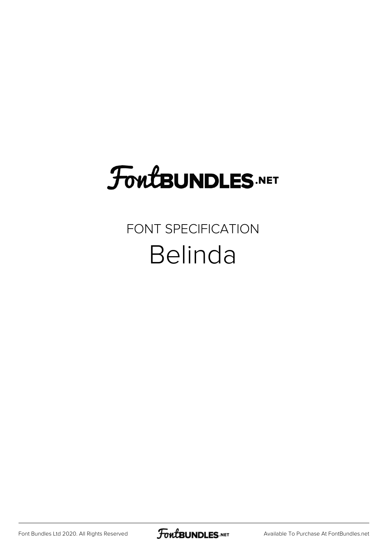# **FoutBUNDLES.NET**

#### FONT SPECIFICATION Belinda

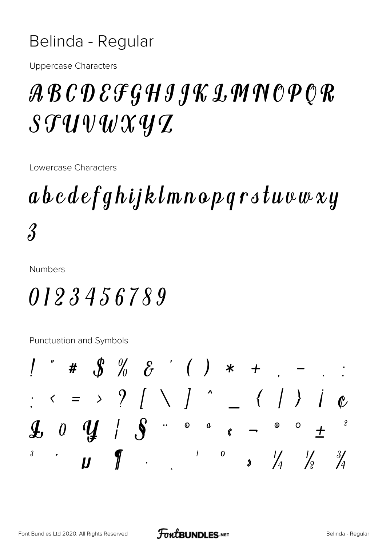#### Belinda - Regular

**Uppercase Characters** 

### ABCDEFGHIJKLMNOPQR  $\mathcal{STUVWX} y\mathcal{T}$

Lowercase Characters

# abcdefghijklmnopqrstuvwxy  $\hat{\mathcal{S}}$

**Numbers** 

#### 0123456789

Punctuation and Symbols

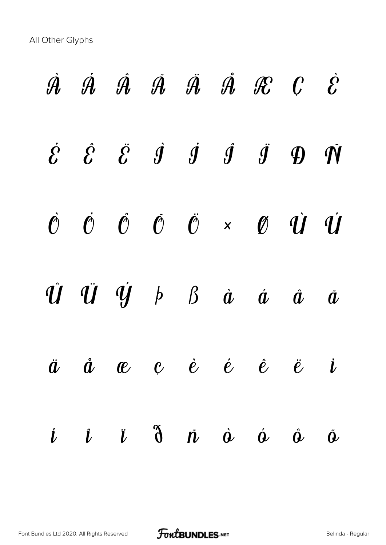All Other Glyphs

|  |  |  | $\dot{\mathcal{A}}$ $\dot{\mathcal{A}}$ $\dot{\mathcal{A}}$ $\ddot{\mathcal{A}}$ $\ddot{\mathcal{A}}$ $\dot{\mathcal{A}}$ $\mathcal{R}$ $\mathcal{C}$ $\dot{\mathcal{C}}$                                                                                |  |
|--|--|--|----------------------------------------------------------------------------------------------------------------------------------------------------------------------------------------------------------------------------------------------------------|--|
|  |  |  | $\label{eq:2} \begin{array}{cccccccccccccc} \dot{\mathcal{E}} & \dot{\mathcal{E}} & \dot{\mathcal{E}} & \dot{\mathcal{I}} & \dot{\mathcal{I}} & \dot{\mathcal{I}} & \dot{\mathcal{I}} & \dot{\mathcal{I}} & \mathcal{D} & \dot{\mathcal{N}} \end{array}$ |  |
|  |  |  | $\label{eq:2} \begin{array}{ccccccccccccccccc} \hat{\mathcal{O}} & \hat{\mathcal{O}} & \hat{\mathcal{O}} & \hat{\mathcal{O}} & \hat{\mathcal{O}} & \times & \mathcal{O} & \hat{\mathcal{U}} & \hat{\mathcal{U}} \end{array}$                             |  |
|  |  |  | $\hat{U} \quad \hat{U} \quad \hat{U} \quad \hat{y} \quad \beta \quad \beta \quad \hat{a} \quad \hat{a} \quad \hat{a} \quad \hat{a}$                                                                                                                      |  |
|  |  |  | $\ddot{a}$ $\dot{a}$ $\bf e$ $\bf e$ $\dot{e}$ $\dot{e}$ $\ddot{e}$ $\ddot{e}$ $\dot{\bf i}$                                                                                                                                                             |  |
|  |  |  | $i$ $i$ $\ddot{o}$ $\ddot{o}$ $\dot{o}$ $\dot{o}$ $\dot{o}$ $\ddot{o}$                                                                                                                                                                                   |  |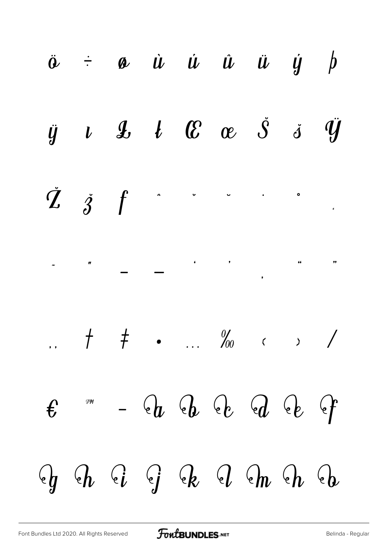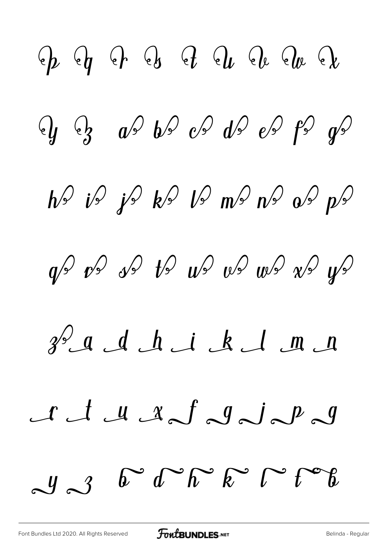$Q_p$   $Q_p$   $Q_p$   $Q_s$   $Q_t$   $Q_e$   $Q_e$   $Q_e$  $\frac{1}{2}$   $\frac{1}{2}$   $\frac{1}{2}$   $\frac{1}{2}$   $\frac{1}{2}$   $\frac{1}{2}$   $\frac{1}{2}$   $\frac{1}{2}$   $\frac{1}{2}$   $\frac{1}{2}$   $\frac{1}{2}$   $\frac{1}{2}$   $\frac{1}{2}$   $\frac{1}{2}$   $\frac{1}{2}$   $\frac{1}{2}$   $\frac{1}{2}$   $\frac{1}{2}$   $\frac{1}{2}$   $\frac{1}{2}$   $\frac{1}{2}$   $\frac{1}{2}$   $h^{\circ}$  is js  $k^{\circ}$  is no  $n^{\circ}$  is  $p^{\circ}$  $\phi$  vs vs ts  $w$  vs  $w$  vs  $w$  vs  $\psi$  $3^{\circ}$  a d h i k l m n A M A S J J D J  $J_3$  b d h k  $C$